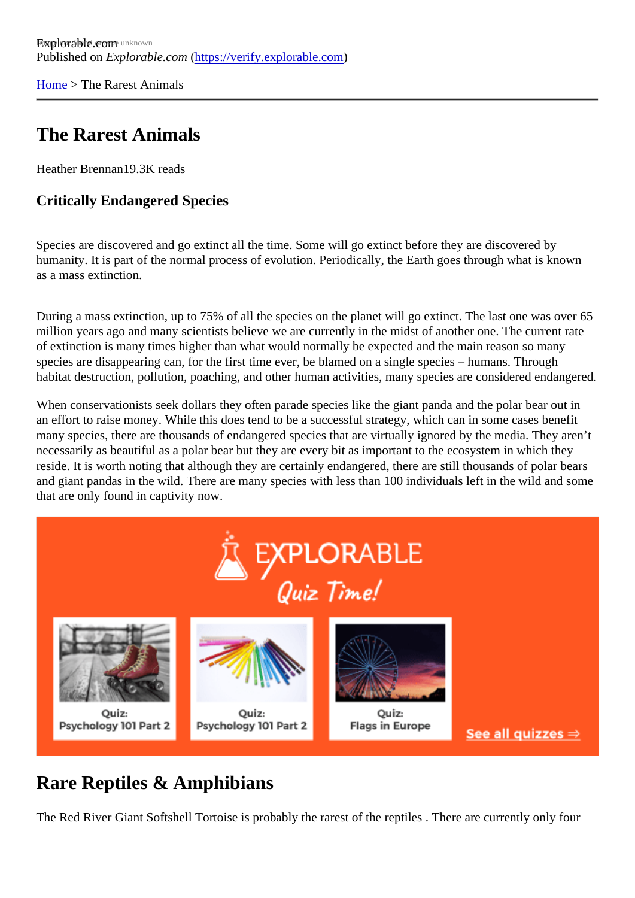[Home](https://verify.explorable.com/) > The Rarest Animals

## The Rarest Animals

Heather Brennan9.3K reads

Critically Endangered Species

Species are discovered and go extinct all the time. Some will go extinct before they are discovered by humanity. It is part of the normal process of evolution. Periodically, the Earth goes through what is known as a mass extinction.

During a mass extinction, up to 75% of all the species on the planet will go extinct. The last one was over million years ago and many scientists believe we are currently in the midst of another one. The current rate of extinction is many times higher than what would normally be expected and the main reason so many species are disappearing can, for the first time ever, be blamed on a single species – humans. Through habitat destruction, pollution, poaching, and other human activities, many species are considered endanger

When conservationists seek dollars they often parade species like the giant panda and the polar bear out an effort to raise money. While this does tend to be a successful strategy, which can in some cases benef many species, there are thousands of endangered species that are virtually ignored by the media. They are necessarily as beautiful as a polar bear but they are every bit as important to the ecosystem in which they reside. It is worth noting that although they are certainly endangered, there are still thousands of polar bear and giant pandas in the wild. There are many species with less than 100 individuals left in the wild and sor that are only found in captivity now.

## Rare Reptiles & Amphibians

The Red River Giant Softshell Tortoise is probably the rarest of the reptiles . There are currently only four